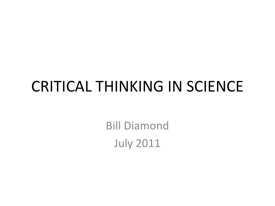## CRITICAL THINKING IN SCIENCE

Bill Diamond July 2011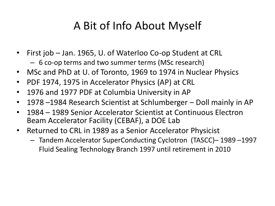#### A Bit of Info About Myself

- First job Jan. 1965, U. of Waterloo Co-op Student at CRL – 6 co-op terms and two summer terms (MSc research)
- MSc and PhD at U. of Toronto, 1969 to 1974 in Nuclear Physics
- PDF 1974, 1975 in Accelerator Physics (AP) at CRL
- 1976 and 1977 PDF at Columbia University in AP
- 1978 –1984 Research Scientist at Schlumberger Doll mainly in AP
- 1984 1989 Senior Accelerator Scientist at Continuous Electron Beam Accelerator Facility (CEBAF), a DOE Lab
- Returned to CRL in 1989 as a Senior Accelerator Physicist
	- Tandem Accelerator SuperConducting Cyclotron (TASCC)– 1989 –1997 Fluid Sealing Technology Branch 1997 until retirement in 2010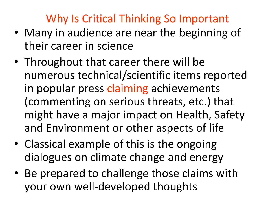#### Why Is Critical Thinking So Important

- Many in audience are near the beginning of their career in science
- Throughout that career there will be numerous technical/scientific items reported in popular press claiming achievements (commenting on serious threats, etc.) that might have a major impact on Health, Safety and Environment or other aspects of life
- Classical example of this is the ongoing dialogues on climate change and energy
- Be prepared to challenge those claims with your own well-developed thoughts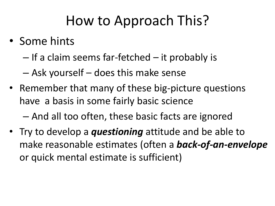## How to Approach This?

- Some hints
	- If a claim seems far-fetched it probably is
	- Ask yourself does this make sense
- Remember that many of these big-picture questions have a basis in some fairly basic science – And all too often, these basic facts are ignored
- Try to develop a *questioning* attitude and be able to make reasonable estimates (often a *back-of-an-envelope*  or quick mental estimate is sufficient)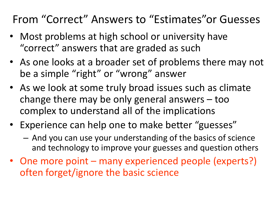#### From "Correct" Answers to "Estimates"or Guesses

- Most problems at high school or university have "correct" answers that are graded as such
- As one looks at a broader set of problems there may not be a simple "right" or "wrong" answer
- As we look at some truly broad issues such as climate change there may be only general answers – too complex to understand all of the implications
- Experience can help one to make better "guesses"
	- And you can use your understanding of the basics of science and technology to improve your guesses and question others
- One more point many experienced people (experts?) often forget/ignore the basic science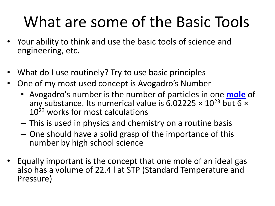# What are some of the Basic Tools

- Your ability to think and use the basic tools of science and engineering, etc.
- What do I use routinely? Try to use basic principles
- One of my most used concept is Avogadro's Number
	- Avogadro's number is the number of particles in one **[mole](http://science.jrank.org/pages/4397/Mole.html)** of any substance. Its numerical value is 6.02225  $\times$  10<sup>23</sup> but 6  $\times$  $10^{23}$  works for most calculations
	- This is used in physics and chemistry on a routine basis
	- One should have a solid grasp of the importance of this number by high school science
- Equally important is the concept that one mole of an ideal gas also has a volume of 22.4 l at STP (Standard Temperature and Pressure)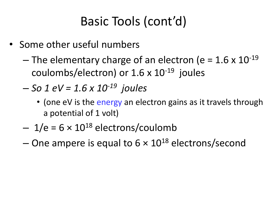### Basic Tools (cont'd)

- Some other useful numbers
	- The elementary charge of an electron (e =  $1.6 \times 10^{-19}$ coulombs/electron) or  $1.6 \times 10^{-19}$  joules
	- *So 1 eV = 1.6 x 10-19 joules*
		- (one eV is the energy an electron gains as it travels through a potential of 1 volt)
	- $-1/e = 6 \times 10^{18}$  electrons/coulomb
	- One ampere is equal to  $6 \times 10^{18}$  electrons/second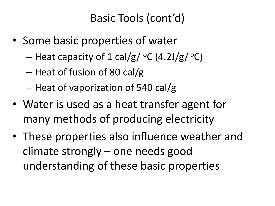#### Basic Tools (cont'd)

- Some basic properties of water
	- Heat capacity of 1 cal/g/  $\mathrm{^{\circ}C}$  (4.2J/g/ $\mathrm{^{\circ}C}$ )
	- Heat of fusion of 80 cal/g
	- Heat of vaporization of 540 cal/g
- Water is used as a heat transfer agent for many methods of producing electricity
- These properties also influence weather and climate strongly – one needs good understanding of these basic properties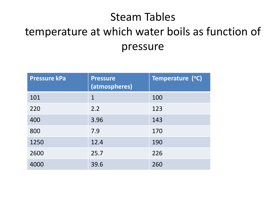### Steam Tables temperature at which water boils as function of pressure

| <b>Pressure kPa</b> | <b>Pressure</b><br>(atmospheres) | Temperature (°C) |
|---------------------|----------------------------------|------------------|
| 101                 | $\mathbf 1$                      | 100              |
| 220                 | 2.2                              | 123              |
| 400                 | 3.96                             | 143              |
| 800                 | 7.9                              | 170              |
| 1250                | 12.4                             | 190              |
| 2600                | 25.7                             | 226              |
| 4000                | 39.6                             | 260              |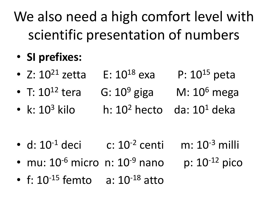We also need a high comfort level with scientific presentation of numbers

### • **SI prefixes:**

- Z:  $10^{21}$  zetta  $E: 10^{18}$  exa P:  $10^{15}$  peta
- T:  $10^{12}$  tera G:  $10^9$  giga M:  $10^6$  mega
- k:  $10^3$  kilo h:  $10^2$  hecto da:  $10^1$  deka

- d:  $10^{-1}$  deci c:  $10^{-2}$  centi m:  $10^{-3}$  milli
- mu:  $10^{-6}$  micro n:  $10^{-9}$  nano p:  $10^{-12}$  pico
- f:  $10^{-15}$  femto  $a: 10^{-18}$  atto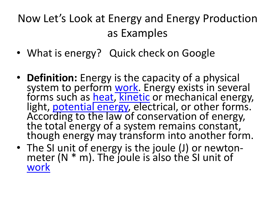### Now Let's Look at Energy and Energy Production as Examples

- What is energy? Quick check on Google
- **Definition:** Energy is the capacity of a physical system to perform [work.](http://physics.about.com/od/glossary/g/work.htm) Energy exists in several forms such as <u>heat, [kinetic](http://physics.about.com/od/energyworkpower/f/KineticEnergy.htm)</u> or mechanical energy, light, **[potential energy](http://physics.about.com/od/glossary/g/potentialenergy.htm), electrical, or other forms.** According to the law of conservation of energy, the total energy of a system remains constant, though energy may transform into another form.
- The SI unit of energy is the joule (J) or newtonmeter  $(N * m)$ . The joule is also the SI unit of [work](http://physics.about.com/od/glossary/g/work.htm)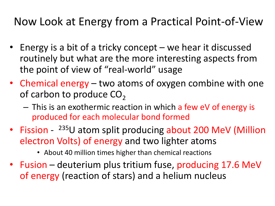Now Look at Energy from a Practical Point-of-View

- Energy is a bit of a tricky concept we hear it discussed routinely but what are the more interesting aspects from the point of view of "real-world" usage
- Chemical energy two atoms of oxygen combine with one of carbon to produce  $CO<sub>2</sub>$ 
	- This is an exothermic reaction in which a few eV of energy is produced for each molecular bond formed
- Fission <sup>235</sup>U atom split producing about 200 MeV (Million electron Volts) of energy and two lighter atoms
	- About 40 million times higher than chemical reactions
- Fusion deuterium plus tritium fuse, producing 17.6 MeV of energy (reaction of stars) and a helium nucleus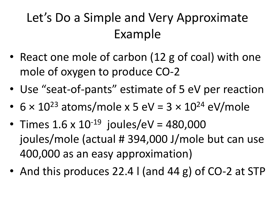## Let's Do a Simple and Very Approximate Example

- React one mole of carbon (12 g of coal) with one mole of oxygen to produce CO-2
- Use "seat-of-pants" estimate of 5 eV per reaction
- $6 \times 10^{23}$  atoms/mole x 5 eV =  $3 \times 10^{24}$  eV/mole
- Times  $1.6 \times 10^{-19}$  joules/eV = 480,000 joules/mole (actual # 394,000 J/mole but can use 400,000 as an easy approximation)
- And this produces 22.4 l (and 44 g) of CO-2 at STP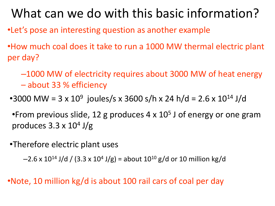### What can we do with this basic information?

- •Let's pose an interesting question as another example
- •How much coal does it take to run a 1000 MW thermal electric plant per day?
	- –1000 MW of electricity requires about 3000 MW of heat energy
	- about 33 % efficiency
	- •3000 MW = 3 x  $10^9$  joules/s x 3600 s/h x 24 h/d = 2.6 x  $10^{14}$  J/d
	- •From previous slide, 12 g produces  $4 \times 10^5$  J of energy or one gram produces 3.3 x 10<sup>4</sup> J/g
- •Therefore electric plant uses

 $-2.6$  x  $10^{14}$  J/d / (3.3 x  $10^4$  J/g) = about  $10^{10}$  g/d or  $10$  million kg/d

•Note, 10 million kg/d is about 100 rail cars of coal per day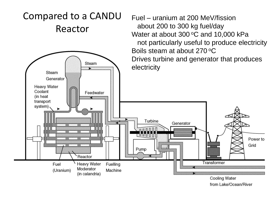#### Compared to a CANDU Reactor



Fuel – uranium at 200 MeV/fission

Water at about 300 $\,^{\circ}$ C and 10,000 kPa

not particularly useful to produce electricity

about 200 to 300 kg fuel/day

from Lake/Ocean/River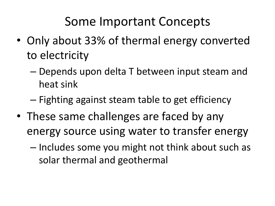### Some Important Concepts

- Only about 33% of thermal energy converted to electricity
	- Depends upon delta T between input steam and heat sink
	- Fighting against steam table to get efficiency
- These same challenges are faced by any energy source using water to transfer energy
	- Includes some you might not think about such as solar thermal and geothermal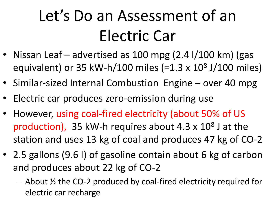# Let's Do an Assessment of an Electric Car

- Nissan Leaf advertised as 100 mpg (2.4 l/100 km) (gas equivalent) or 35 kW-h/100 miles (=1.3 x 10<sup>8</sup> J/100 miles)
- Similar-sized Internal Combustion Engine over 40 mpg
- Electric car produces zero-emission during use
- However, using coal-fired electricity (about 50% of US production), 35 kW-h requires about  $4.3 \times 10^8$  J at the station and uses 13 kg of coal and produces 47 kg of CO-2
- 2.5 gallons (9.6) of gasoline contain about 6 kg of carbon and produces about 22 kg of CO-2
	- About ½ the CO-2 produced by coal-fired electricity required for electric car recharge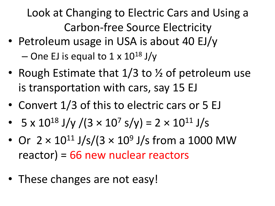Look at Changing to Electric Cars and Using a Carbon-free Source Electricity

- Petroleum usage in USA is about 40 EJ/y  $-$  One EJ is equal to 1 x 10<sup>18</sup> J/y
- Rough Estimate that 1/3 to 1/2 of petroleum use is transportation with cars, say 15 EJ
- Convert 1/3 of this to electric cars or 5 EJ
- $5 \times 10^{18}$  J/y /(3  $\times 10^{7}$  s/y) = 2  $\times 10^{11}$  J/s
- Or  $2 \times 10^{11}$  J/s/(3  $\times 10^9$  J/s from a 1000 MW reactor) = 66 new nuclear reactors
- These changes are not easy!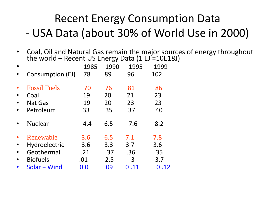### Recent Energy Consumption Data - USA Data (about 30% of World Use in 2000)

• Coal, Oil and Natural Gas remain the major sources of energy throughout the world – Recent US Energy Data (1 EJ =10E18J)

| Consumption (EJ)                                                   | 1985<br>78               | 1990<br>89               | 1995<br>96             | 1999<br>102              |
|--------------------------------------------------------------------|--------------------------|--------------------------|------------------------|--------------------------|
| <b>Fossil Fuels</b><br>Coal<br><b>Nat Gas</b><br>Petroleum         | 70<br>19<br>19<br>33     | 76<br>20<br>20<br>35     | 81<br>21<br>23<br>37   | 86<br>23<br>23<br>40     |
| <b>Nuclear</b>                                                     | 4.4                      | 6.5                      | 7.6                    | 8.2                      |
| Renewable<br><b>Hydroelectric</b><br>Geothermal<br><b>Biofuels</b> | 3.6<br>3.6<br>.21<br>.01 | 6.5<br>3.3<br>.37<br>2.5 | 7.1<br>3.7<br>.36<br>3 | 7.8<br>3.6<br>.35<br>3.7 |
| Solar + Wind                                                       | $0.0\,$                  | .09                      | 0.11                   | .12<br>0                 |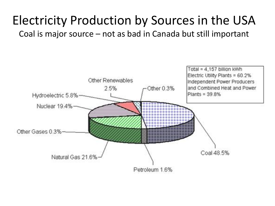#### Electricity Production by Sources in the USA Coal is major source – not as bad in Canada but still important

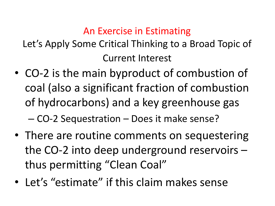#### An Exercise in Estimating

Let's Apply Some Critical Thinking to a Broad Topic of Current Interest

- CO-2 is the main byproduct of combustion of coal (also a significant fraction of combustion of hydrocarbons) and a key greenhouse gas – CO-2 Sequestration – Does it make sense?
- There are routine comments on sequestering the CO-2 into deep underground reservoirs – thus permitting "Clean Coal"
- Let's "estimate" if this claim makes sense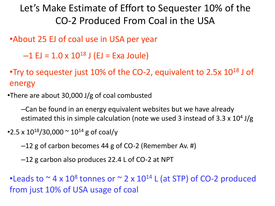#### Let's Make Estimate of Effort to Sequester 10% of the CO-2 Produced From Coal in the USA

•About 25 EJ of coal use in USA per year

 $-1$  EJ = 1.0 x 10<sup>18</sup> J (EJ = Exa Joule)

•Try to sequester just 10% of the CO-2, equivalent to 2.5 $\times$  10<sup>18</sup> J of energy

•There are about 30,000 J/g of coal combusted

–Can be found in an energy equivalent websites but we have already estimated this in simple calculation (note we used 3 instead of 3.3 x 10<sup>4</sup> J/g

•2.5 x  $10^{18}/30,000 \approx 10^{14}$  g of coal/y

–12 g of carbon becomes 44 g of CO-2 (Remember Av. #)

–12 g carbon also produces 22.4 L of CO-2 at NPT

•Leads to  $\sim$  4 x 10<sup>8</sup> tonnes or  $\sim$  2 x 10<sup>14</sup> L (at STP) of CO-2 produced from just 10% of USA usage of coal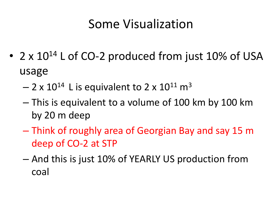### Some Visualization

- 2 x  $10^{14}$  L of CO-2 produced from just 10% of USA usage
	- $2 \times 10^{14}$  L is equivalent to 2 x 10<sup>11</sup> m<sup>3</sup>
	- This is equivalent to a volume of 100 km by 100 km by 20 m deep
	- Think of roughly area of Georgian Bay and say 15 m deep of CO-2 at STP
	- And this is just 10% of YEARLY US production from coal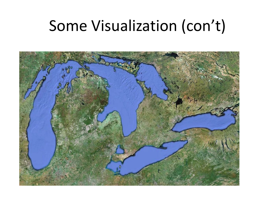## Some Visualization (con't)

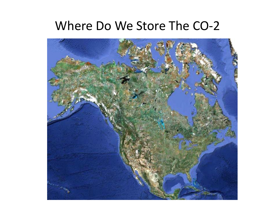#### Where Do We Store The CO-2

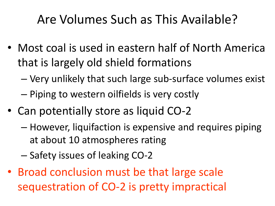### Are Volumes Such as This Available?

- Most coal is used in eastern half of North America that is largely old shield formations
	- Very unlikely that such large sub-surface volumes exist
	- Piping to western oilfields is very costly
- Can potentially store as liquid CO-2
	- However, liquifaction is expensive and requires piping at about 10 atmospheres rating
	- Safety issues of leaking CO-2
- Broad conclusion must be that large scale sequestration of CO-2 is pretty impractical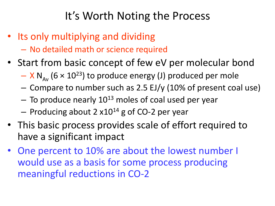#### It's Worth Noting the Process

- Its only multiplying and dividing
	- No detailed math or science required
- Start from basic concept of few eV per molecular bond
	- $-$  X N<sub>AV</sub> (6 × 10<sup>23</sup>) to produce energy (J) produced per mole
	- Compare to number such as 2.5 EJ/y (10% of present coal use)
	- $-$  To produce nearly  $10^{13}$  moles of coal used per year
	- $-$  Producing about 2 x10<sup>14</sup> g of CO-2 per year
- This basic process provides scale of effort required to have a significant impact
- One percent to 10% are about the lowest number I would use as a basis for some process producing meaningful reductions in CO-2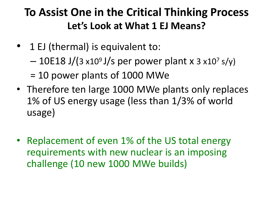#### **To Assist One in the Critical Thinking Process Let's Look at What 1 EJ Means?**

- 1 EJ (thermal) is equivalent to:
	- $-$  10E18 J/(3 x10<sup>9</sup> J/s per power plant x 3 x10<sup>7</sup> s/y)
	- = 10 power plants of 1000 MWe
- Therefore ten large 1000 MWe plants only replaces 1% of US energy usage (less than 1/3% of world usage)
- Replacement of even 1% of the US total energy requirements with new nuclear is an imposing challenge (10 new 1000 MWe builds)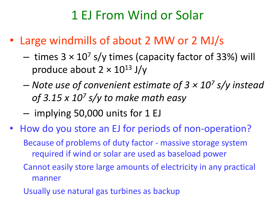### 1 EJ From Wind or Solar

- Large windmills of about 2 MW or 2 MJ/s
	- $-$  times  $3 \times 10^7$  s/y times (capacity factor of 33%) will produce about  $2 \times 10^{13}$  J/y
	- *Note use of convenient estimate of 3 × 10<sup>7</sup> s/y instead of 3.15 x 10<sup>7</sup> s/y to make math easy*
	- implying 50,000 units for 1 EJ
- How do you store an EJ for periods of non-operation? Because of problems of duty factor - massive storage system required if wind or solar are used as baseload power Cannot easily store large amounts of electricity in any practical manner Usually use natural gas turbines as backup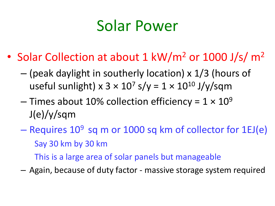## Solar Power

- Solar Collection at about 1 kW/m<sup>2</sup> or 1000 J/s/ m<sup>2</sup>
	- (peak daylight in southerly location) x 1/3 (hours of useful sunlight) x  $3 \times 10^7$  s/y =  $1 \times 10^{10}$  J/y/sqm
	- Times about 10% collection efficiency =  $1 \times 10^9$ J(e)/y/sqm
	- Requires  $10^9$  sq m or 1000 sq km of collector for 1EJ(e) Say 30 km by 30 km This is a large area of solar panels but manageable
	- Again, because of duty factor massive storage system required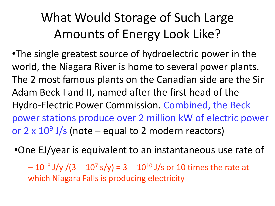## What Would Storage of Such Large Amounts of Energy Look Like?

•The single greatest source of hydroelectric power in the world, the Niagara River is home to several power plants. The 2 most famous plants on the Canadian side are the Sir Adam Beck I and II, named after the first head of the Hydro-Electric Power Commission. Combined, the Beck power stations produce over 2 million kW of electric power or  $2 \times 10^9$  J/s (note – equal to 2 modern reactors)

•One EJ/year is equivalent to an instantaneous use rate of

 $-10^{18}$  J/y /(3  $10^7$  s/y) = 3  $10^{10}$  J/s or 10 times the rate at which Niagara Falls is producing electricity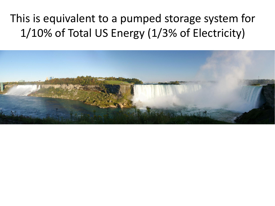### This is equivalent to a pumped storage system for 1/10% of Total US Energy (1/3% of Electricity)